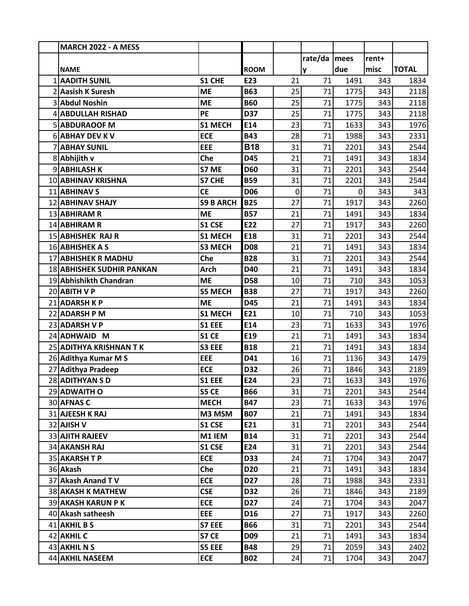|    | MARCH 2022 - A MESS              |                  |                 |             |                |      |       |              |
|----|----------------------------------|------------------|-----------------|-------------|----------------|------|-------|--------------|
|    |                                  |                  |                 |             | rate/da   mees |      | rent+ |              |
|    | <b>NAME</b>                      |                  | <b>ROOM</b>     |             | y              | due  | misc  | <b>TOTAL</b> |
|    | <b>1 AADITH SUNIL</b>            | <b>S1 CHE</b>    | E23             | 21          | 71             | 1491 | 343   | 1834         |
|    | 2 Aasish K Suresh                | <b>ME</b>        | <b>B63</b>      | 25          | 71             | 1775 | 343   | 2118         |
|    | <b>3 Abdul Noshin</b>            | <b>ME</b>        | <b>B60</b>      | 25          | 71             | 1775 | 343   | 2118         |
|    | 4 ABDULLAH RISHAD                | <b>PE</b>        | D37             | 25          | 71             | 1775 | 343   | 2118         |
|    | <b>5 ABDURAOOF M</b>             | <b>S1 MECH</b>   | E14             | 23          | 71             | 1633 | 343   | 1976         |
|    | 6 ABHAY DEV K V                  | <b>ECE</b>       | <b>B43</b>      | 28          | 71             | 1988 | 343   | 2331         |
|    | <b>7 ABHAY SUNIL</b>             | <b>EEE</b>       | <b>B18</b>      | 31          | 71             | 2201 | 343   | 2544         |
|    | 8 Abhijith v                     | Che              | <b>D45</b>      | 21          | 71             | 1491 | 343   | 1834         |
|    | 9 ABHILASH K                     | S7 ME            | <b>D60</b>      | 31          | 71             | 2201 | 343   | 2544         |
|    | 10 ABHINAV KRISHNA               | S7 CHE           | <b>B59</b>      | 31          | 71             | 2201 | 343   | 2544         |
|    | 11 ABHINAV S                     | <b>CE</b>        | D <sub>06</sub> | $\mathbf 0$ | 71             | 0    | 343   | 343          |
|    | <b>12 ABHINAV SHAJY</b>          | <b>S9 B ARCH</b> | <b>B25</b>      | 27          | 71             | 1917 | 343   | 2260         |
|    | 13 ABHIRAM R                     | <b>ME</b>        | <b>B57</b>      | 21          | 71             | 1491 | 343   | 1834         |
|    | 14 ABHIRAM R                     | S1 CSE           | E22             | 27          | 71             | 1917 | 343   | 2260         |
|    | 15 ABHISHEK RAJ R                | <b>S1 MECH</b>   | E18             | 31          | 71             | 2201 | 343   | 2544         |
|    | 16 ABHISHEK A S                  | <b>S3 MECH</b>   | <b>D08</b>      | 21          | 71             | 1491 | 343   | 1834         |
| 17 | <b>ABHISHEK R MADHU</b>          | Che              | <b>B28</b>      | 31          | 71             | 2201 | 343   | 2544         |
|    | <b>18 ABHISHEK SUDHIR PANKAN</b> | <b>Arch</b>      | D40             | 21          | 71             | 1491 | 343   | 1834         |
|    | 19 Abhishikth Chandran           | <b>ME</b>        | <b>D58</b>      | 10          | 71             | 710  | 343   | 1053         |
|    | 20 ABITH V P                     | <b>S5 MECH</b>   | <b>B38</b>      | 27          | 71             | 1917 | 343   | 2260         |
|    | 21 ADARSH KP                     | <b>ME</b>        | D45             | 21          | 71             | 1491 | 343   | 1834         |
|    | 22 ADARSH P M                    | <b>S1 MECH</b>   | E21             | 10          | 71             | 710  | 343   | 1053         |
|    | 23 ADARSH V P                    | S1 EEE           | E14             | 23          | 71             | 1633 | 343   | 1976         |
|    | 24 ADHWAID M                     | <b>S1 CE</b>     | E19             | 21          | 71             | 1491 | 343   | 1834         |
|    | 25 ADITHYA KRISHNAN T K          | S3 EEE           | <b>B18</b>      | 21          | 71             | 1491 | 343   | 1834         |
|    | 26 Adithya Kumar M S             | <b>EEE</b>       | D41             | 16          | 71             | 1136 | 343   | 1479         |
|    | 27 Adithya Pradeep               | <b>ECE</b>       | D32             | 26          | 71             | 1846 | 343   | 2189         |
|    | 28 ADITHYAN S D                  | S1 EEE           | E24             | 23          | 71             | 1633 | 343   | 1976         |
|    | 29 ADWAITH O                     | <b>S5 CE</b>     | <b>B66</b>      | 31          | 71             | 2201 | 343   | 2544         |
|    | 30 AFNAS C                       | <b>MECH</b>      | <b>B47</b>      | 23          | 71             | 1633 | 343   | 1976         |
|    | 31 AJEESH K RAJ                  | M3 MSM           | <b>B07</b>      | 21          | 71             | 1491 | 343   | 1834         |
|    | 32 AJISH V                       | S1 CSE           | E21             | 31          | 71             | 2201 | 343   | 2544         |
|    | <b>33 AJITH RAJEEV</b>           | M1 IEM           | <b>B14</b>      | 31          | 71             | 2201 | 343   | 2544         |
|    | <b>34 AKANSH RAJ</b>             | S1 CSE           | E24             | 31          | 71             | 2201 | 343   | 2544         |
|    | 35 AKARSH T P                    | <b>ECE</b>       | D33             | 24          | 71             | 1704 | 343   | 2047         |
|    | 36 Akash                         | Che              | <b>D20</b>      | 21          | 71             | 1491 | 343   | 1834         |
|    | 37 Akash Anand T V               | <b>ECE</b>       | <b>D27</b>      | 28          | 71             | 1988 | 343   | 2331         |
|    | <b>38 AKASH K MATHEW</b>         | <b>CSE</b>       | D32             | 26          | 71             | 1846 | 343   | 2189         |
|    | <b>39 AKASH KARUN P K</b>        | <b>ECE</b>       | <b>D27</b>      | 24          | 71             | 1704 | 343   | 2047         |
|    | 40 Akash satheesh                | <b>EEE</b>       | D16             | 27          | 71             | 1917 | 343   | 2260         |
|    | 41 AKHIL B S                     | S7 EEE           | <b>B66</b>      | 31          | 71             | 2201 | 343   | 2544         |
|    | 42 AKHIL C                       | S7 CE            | D <sub>09</sub> | 21          | 71             | 1491 | 343   | 1834         |
|    | 43 AKHIL N S                     | S5 EEE           | <b>B48</b>      | 29          | 71             | 2059 | 343   | 2402         |
|    | 44 AKHIL NASEEM                  | <b>ECE</b>       | <b>B02</b>      | 24          | 71             | 1704 | 343   | 2047         |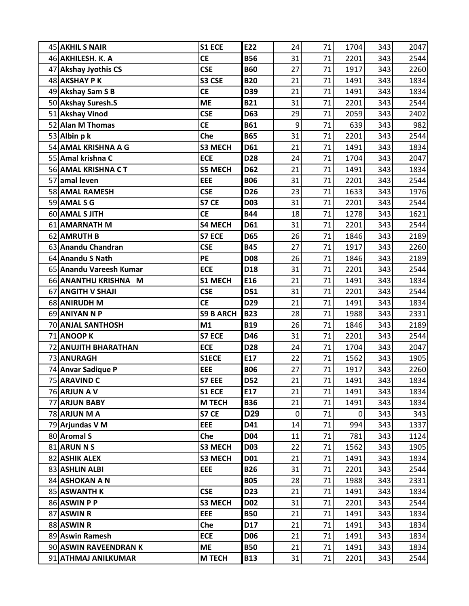|    | 45 AKHIL S NAIR          | S1 ECE            | E22                      | 24               | 71       | 1704 | 343        | 2047         |
|----|--------------------------|-------------------|--------------------------|------------------|----------|------|------------|--------------|
|    | 46 AKHILESH. K. A        | <b>CE</b>         | <b>B56</b>               | 31               | 71       | 2201 | 343        | 2544         |
|    | 47 Akshay Jyothis CS     | <b>CSE</b>        | <b>B60</b>               | 27               | 71       | 1917 | 343        | 2260         |
|    | 48 AKSHAY PK             | S3 CSE            | <b>B20</b>               | 21               | 71       | 1491 | 343        | 1834         |
|    | 49 Akshay Sam S B        | <b>CE</b>         | D39                      | 21               | 71       | 1491 | 343        | 1834         |
|    | 50 Akshay Suresh.S       | <b>ME</b>         | <b>B21</b>               | 31               | 71       | 2201 | 343        | 2544         |
|    | 51 Akshay Vinod          | <b>CSE</b>        | D63                      | 29               | 71       | 2059 | 343        | 2402         |
|    | 52 Alan M Thomas         | <b>CE</b>         | <b>B61</b>               | 9                | 71       | 639  | 343        | 982          |
|    | 53 Albin p k             | Che               | <b>B65</b>               | 31               | 71       | 2201 | 343        | 2544         |
|    | 54 AMAL KRISHNA A G      | <b>S3 MECH</b>    | D61                      | 21               | 71       | 1491 | 343        | 1834         |
|    | 55 Amal krishna C        | <b>ECE</b>        | D28                      | 24               | 71       | 1704 | 343        | 2047         |
|    | 56 AMAL KRISHNA CT       | <b>S5 MECH</b>    | D62                      | 21               | 71       | 1491 | 343        | 1834         |
| 57 | amal leven               | EEE               | <b>B06</b>               | 31               | 71       | 2201 | 343        | 2544         |
|    | 58 AMAL RAMESH           | <b>CSE</b>        | D <sub>26</sub>          | 23               | 71       | 1633 | 343        | 1976         |
|    | 59 AMAL S G              | <b>S7 CE</b>      | D <sub>03</sub>          | 31               | 71       | 2201 | 343        | 2544         |
|    | 60 AMAL S JITH           | <b>CE</b>         | <b>B44</b>               | 18               | 71       | 1278 | 343        | 1621         |
|    | 61 AMARNATH M            | <b>S4 MECH</b>    | D61                      | 31               | 71       | 2201 | 343        | 2544         |
|    | 62 AMRUTH B              | S7 ECE            | D65                      | 26               | 71       | 1846 | 343        | 2189         |
|    | 63 Anandu Chandran       | <b>CSE</b>        | <b>B45</b>               | 27               | 71       | 1917 | 343        | 2260         |
|    | 64 Anandu S Nath         | PE                | <b>D08</b>               | 26               | 71       | 1846 | 343        | 2189         |
|    | 65 Anandu Vareesh Kumar  | <b>ECE</b>        | D18                      | 31               | 71       | 2201 | 343        | 2544         |
|    | 66 ANANTHU KRISHNA M     | <b>S1 MECH</b>    | E16                      | 21               | 71       | 1491 | 343        | 1834         |
| 67 | <b>ANGITH V SHAJI</b>    | <b>CSE</b>        | D51                      | 31               | 71       | 2201 | 343        | 2544         |
|    | 68 ANIRUDH M             | <b>CE</b>         | D29                      | 21               | 71       | 1491 | 343        | 1834         |
|    | 69 ANIYAN N P            | <b>S9 B ARCH</b>  | <b>B23</b>               | 28               | 71       | 1988 | 343        | 2331         |
|    | 70 ANJAL SANTHOSH        | M1                | <b>B19</b>               | 26               | 71       | 1846 | 343        | 2189         |
|    | 71 ANOOP K               | S7 ECE            | D46                      | 31               | 71       | 2201 | 343        | 2544         |
|    | 72 ANUJITH BHARATHAN     | <b>ECE</b>        | D28                      | 24               | 71       | 1704 | 343        | 2047         |
|    | 73 ANURAGH               | S1ECE             | E17                      | 22               | 71       | 1562 | 343        | 1905         |
|    | 74 Anvar Sadique P       | <b>EEE</b>        | <b>B06</b>               | 27               | 71       | 1917 | 343        | 2260         |
|    | 75 ARAVIND C             | S7 EEE            | D52                      | 21               | 71       | 1491 | 343        | 1834         |
|    | 76 ARJUN A V             | S1 ECE            | E17                      | 21               | 71       | 1491 | 343        | 1834         |
|    | 77 ARJUN BABY            | <b>M TECH</b>     | <b>B36</b>               | 21               | 71       | 1491 | 343        | 1834         |
|    | 78 ARJUN M A             | S7 CE             | D <sub>29</sub>          | $\boldsymbol{0}$ | 71       | 0    | 343        | 343          |
|    | 79 Arjundas V M          | <b>EEE</b>        | D41                      | 14               | 71       | 994  | 343        | 1337         |
|    | 80 Aromal S              | Che               | D04                      | 11               | 71       | 781  | 343        | 1124         |
|    | 81 ARUN N S              | <b>S3 MECH</b>    | D03                      | 22               | 71       | 1562 | 343        | 1905         |
|    | 82 ASHIK ALEX            | <b>S3 MECH</b>    | D01                      | 21               | 71       | 1491 | 343        | 1834         |
|    | 83 ASHLIN ALBI           | <b>EEE</b>        | <b>B26</b>               | 31               | 71       | 2201 | 343        | 2544         |
|    | 84 ASHOKAN A N           |                   | <b>B05</b>               | 28               | 71       | 1988 | 343        | 2331         |
|    | 85 ASWANTH K             | <b>CSE</b>        | D23                      | 21               | 71       | 1491 | 343        | 1834         |
|    | 86 ASWIN P P             | <b>S3 MECH</b>    | D02                      | 31               | 71       | 2201 | 343        | 2544         |
|    | 87 ASWIN R<br>88 ASWIN R | <b>EEE</b><br>Che | <b>B50</b><br><b>D17</b> | 21<br>21         | 71<br>71 | 1491 | 343<br>343 | 1834         |
|    | 89 Aswin Ramesh          | <b>ECE</b>        | D06                      | 21               | 71       | 1491 | 343        | 1834<br>1834 |
|    |                          | <b>ME</b>         |                          |                  |          | 1491 |            |              |
|    | 90 ASWIN RAVEENDRAN K    |                   | <b>B50</b>               | 21               | 71       | 1491 | 343        | 1834         |
|    | 91 ATHMAJ ANILKUMAR      | <b>M TECH</b>     | <b>B13</b>               | 31               | 71       | 2201 | 343        | 2544         |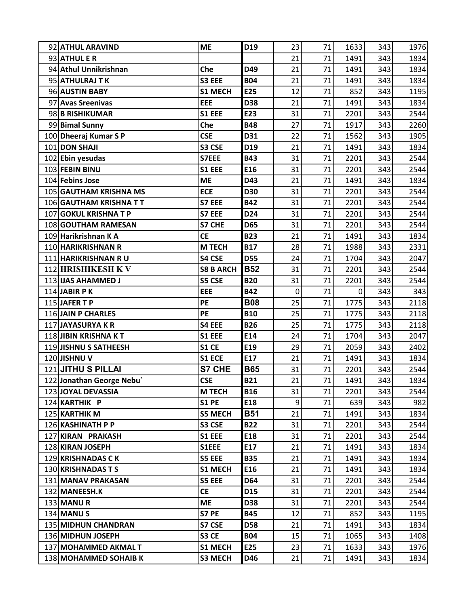| 92 ATHUL ARAVIND           | <b>ME</b>        | D19        | 23          | 71 | 1633 | 343 | 1976 |
|----------------------------|------------------|------------|-------------|----|------|-----|------|
| 93 ATHUL E R               |                  |            | 21          | 71 | 1491 | 343 | 1834 |
| 94 Athul Unnikrishnan      | Che              | D49        | 21          | 71 | 1491 | 343 | 1834 |
| 95 ATHULRAJ TK             | S3 EEE           | <b>B04</b> | 21          | 71 | 1491 | 343 | 1834 |
| 96 AUSTIN BABY             | <b>S1 MECH</b>   | E25        | 12          | 71 | 852  | 343 | 1195 |
| 97 Avas Sreenivas          | EEE              | <b>D38</b> | 21          | 71 | 1491 | 343 | 1834 |
| 98 B RISHIKUMAR            | S1 EEE           | E23        | 31          | 71 | 2201 | 343 | 2544 |
| 99 Bimal Sunny             | Che              | <b>B48</b> | 27          | 71 | 1917 | 343 | 2260 |
| 100 Dheeraj Kumar S P      | <b>CSE</b>       | D31        | 22          | 71 | 1562 | 343 | 1905 |
| 101 DON SHAJI              | S3 CSE           | D19        | 21          | 71 | 1491 | 343 | 1834 |
| 102 Ebin yesudas           | S7EEE            | <b>B43</b> | 31          | 71 | 2201 | 343 | 2544 |
| 103 FEBIN BINU             | S1 EEE           | E16        | 31          | 71 | 2201 | 343 | 2544 |
| 104 Febins Jose            | <b>ME</b>        | D43        | 21          | 71 | 1491 | 343 | 1834 |
| 105 GAUTHAM KRISHNA MS     | <b>ECE</b>       | D30        | 31          | 71 | 2201 | 343 | 2544 |
| 106 GAUTHAM KRISHNA TT     | S7 EEE           | <b>B42</b> | 31          | 71 | 2201 | 343 | 2544 |
| 107 GOKUL KRISHNA T P      | S7 EEE           | D24        | 31          | 71 | 2201 | 343 | 2544 |
| 108 GOUTHAM RAMESAN        | S7 CHE           | D65        | 31          | 71 | 2201 | 343 | 2544 |
| 109 Harikrishnan K A       | <b>CE</b>        | <b>B23</b> | 21          | 71 | 1491 | 343 | 1834 |
| 110 HARIKRISHNAN R         | <b>M TECH</b>    | <b>B17</b> | 28          | 71 | 1988 | 343 | 2331 |
| 111 HARIKRISHNAN RU        | S4 CSE           | <b>D55</b> | 24          | 71 | 1704 | 343 | 2047 |
| 112 HRISHIKESH K V         | <b>S8 B ARCH</b> | <b>B52</b> | 31          | 71 | 2201 | 343 | 2544 |
| 113 IJAS AHAMMED J         | S5 CSE           | <b>B20</b> | 31          | 71 | 2201 | 343 | 2544 |
| $114$ JABIR PK             | <b>EEE</b>       | <b>B42</b> | $\mathbf 0$ | 71 | 0    | 343 | 343  |
| 115 JAFER TP               | PE               | <b>B08</b> | 25          | 71 | 1775 | 343 | 2118 |
| 116 JAIN P CHARLES         | <b>PE</b>        | <b>B10</b> | 25          | 71 | 1775 | 343 | 2118 |
| 117 JAYASURYA KR           | S4 EEE           | <b>B26</b> | 25          | 71 | 1775 | 343 | 2118 |
| 118 JIBIN KRISHNA KT       | S1 EEE           | E14        | 24          | 71 | 1704 | 343 | 2047 |
| 119 JISHNU S SATHEESH      | <b>S1 CE</b>     | E19        | 29          | 71 | 2059 | 343 | 2402 |
| 120 JISHNU V               | S1 ECE           | E17        | 21          | 71 | 1491 | 343 | 1834 |
| 121 JITHU S PILLAI         | <b>S7 CHE</b>    | <b>B65</b> | 31          | 71 | 2201 | 343 | 2544 |
| 122 Jonathan George Nebu`  | <b>CSE</b>       | <b>B21</b> | 21          | 71 | 1491 | 343 | 1834 |
| 123 JOYAL DEVASSIA         | <b>M TECH</b>    | <b>B16</b> | 31          | 71 | 2201 | 343 | 2544 |
| 124 KARTHIK P              | <b>S1 PE</b>     | E18        | 9           | 71 | 639  | 343 | 982  |
| 125 KARTHIK M              | <b>S5 MECH</b>   | <b>B51</b> | 21          | 71 | 1491 | 343 | 1834 |
| 126 KASHINATH P P          | S3 CSE           | <b>B22</b> | 31          | 71 | 2201 | 343 | 2544 |
| 127 KIRAN PRAKASH          | S1 EEE           | E18        | 31          | 71 | 2201 | 343 | 2544 |
| 128 KIRAN JOSEPH           | S1EEE            | E17        | 21          | 71 | 1491 | 343 | 1834 |
| 129 KRISHNADAS C K         | S5 EEE           | <b>B35</b> | 21          | 71 | 1491 | 343 | 1834 |
| 130 KRISHNADAS T S         | <b>S1 MECH</b>   | E16        | 21          | 71 | 1491 | 343 | 1834 |
| 131 MANAV PRAKASAN         | S5 EEE           | <b>D64</b> | 31          | 71 | 2201 | 343 | 2544 |
| 132 MANEESH.K              | <b>CE</b>        | D15        | 31          | 71 | 2201 | 343 | 2544 |
| 133 MANU R                 | <b>ME</b>        | <b>D38</b> | 31          | 71 | 2201 | 343 | 2544 |
| 134 MANU S                 | S7 PE            | <b>B45</b> | 12          | 71 | 852  | 343 | 1195 |
| <b>135 MIDHUN CHANDRAN</b> | S7 CSE           | <b>D58</b> | 21          | 71 | 1491 | 343 | 1834 |
| 136 MIDHUN JOSEPH          | S3 CE            | <b>B04</b> | 15          | 71 | 1065 | 343 | 1408 |
| 137 MOHAMMED AKMAL T       | <b>S1 MECH</b>   | E25        | 23          | 71 | 1633 | 343 | 1976 |
| 138 MOHAMMED SOHAIB K      | <b>S3 MECH</b>   | D46        | 21          | 71 | 1491 | 343 | 1834 |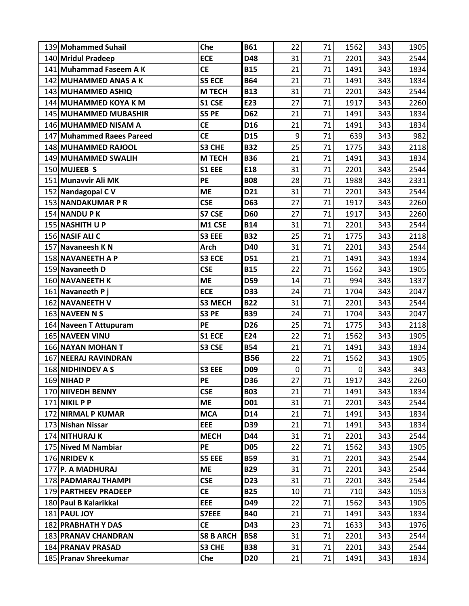| 139 Mohammed Suhail       | Che              | <b>B61</b>      | 22          | 71 | 1562 | 343 | 1905 |
|---------------------------|------------------|-----------------|-------------|----|------|-----|------|
| 140 Mridul Pradeep        | <b>ECE</b>       | D48             | 31          | 71 | 2201 | 343 | 2544 |
| 141 Muhammad Faseem A K   | <b>CE</b>        | <b>B15</b>      | 21          | 71 | 1491 | 343 | 1834 |
| 142 MUHAMMED ANAS A K     | S5 ECE           | <b>B64</b>      | 21          | 71 | 1491 | 343 | 1834 |
| 143 MUHAMMED ASHIQ        | <b>M TECH</b>    | <b>B13</b>      | 31          | 71 | 2201 | 343 | 2544 |
| 144 MUHAMMED KOYA K M     | S1 CSE           | E23             | 27          | 71 | 1917 | 343 | 2260 |
| 145 MUHAMMED MUBASHIR     | S5 PE            | D62             | 21          | 71 | 1491 | 343 | 1834 |
| 146 MUHAMMED NISAM A      | <b>CE</b>        | D <sub>16</sub> | 21          | 71 | 1491 | 343 | 1834 |
| 147 Muhammed Raees Pareed | <b>CE</b>        | D15             | 9           | 71 | 639  | 343 | 982  |
| 148 MUHAMMED RAJOOL       | S3 CHE           | <b>B32</b>      | 25          | 71 | 1775 | 343 | 2118 |
| 149 MUHAMMED SWALIH       | <b>M TECH</b>    | <b>B36</b>      | 21          | 71 | 1491 | 343 | 1834 |
| 150 MUJEEB S              | S1 EEE           | E18             | 31          | 71 | 2201 | 343 | 2544 |
| 151 Munavvir Ali MK       | PE               | <b>B08</b>      | 28          | 71 | 1988 | 343 | 2331 |
| 152 Nandagopal C V        | <b>ME</b>        | D21             | 31          | 71 | 2201 | 343 | 2544 |
| 153 NANDAKUMAR P R        | <b>CSE</b>       | D63             | 27          | 71 | 1917 | 343 | 2260 |
| 154 NANDU P K             | S7 CSE           | <b>D60</b>      | 27          | 71 | 1917 | 343 | 2260 |
| 155 NASHITH U P           | M1 CSE           | <b>B14</b>      | 31          | 71 | 2201 | 343 | 2544 |
| 156 NASIF ALI C           | S3 EEE           | <b>B32</b>      | 25          | 71 | 1775 | 343 | 2118 |
| 157 Navaneesh K N         | <b>Arch</b>      | D40             | 31          | 71 | 2201 | 343 | 2544 |
| 158 NAVANEETH A P         | S3 ECE           | D51             | 21          | 71 | 1491 | 343 | 1834 |
| 159 Navaneeth D           | <b>CSE</b>       | <b>B15</b>      | 22          | 71 | 1562 | 343 | 1905 |
| 160 NAVANEETH K           | <b>ME</b>        | D59             | 14          | 71 | 994  | 343 | 1337 |
| 161 Navaneeth P j         | <b>ECE</b>       | D33             | 24          | 71 | 1704 | 343 | 2047 |
| 162 NAVANEETH V           | <b>S3 MECH</b>   | <b>B22</b>      | 31          | 71 | 2201 | 343 | 2544 |
| 163 NAVEEN N S            | S3 PE            | <b>B39</b>      | 24          | 71 | 1704 | 343 | 2047 |
| 164 Naveen T Attupuram    | <b>PE</b>        | D <sub>26</sub> | 25          | 71 | 1775 | 343 | 2118 |
| 165 NAVEEN VINU           | S1 ECE           | E24             | 22          | 71 | 1562 | 343 | 1905 |
| 166 NAYAN MOHAN T         | S3 CSE           | <b>B54</b>      | 21          | 71 | 1491 | 343 | 1834 |
| 167 NEERAJ RAVINDRAN      |                  | <b>B56</b>      | 22          | 71 | 1562 | 343 | 1905 |
| 168 NIDHINDEV A S         | S3 EEE           | D <sub>09</sub> | $\mathbf 0$ | 71 | 0    | 343 | 343  |
| <b>169 NIHAD P</b>        | <b>PE</b>        | D36             | 27          | 71 | 1917 | 343 | 2260 |
| 170 NIIVEDH BENNY         | <b>CSE</b>       | <b>B03</b>      | 21          | 71 | 1491 | 343 | 1834 |
| 171 NIKIL P P             | <b>ME</b>        | D01             | 31          | 71 | 2201 | 343 | 2544 |
| 172 NIRMAL P KUMAR        | <b>MCA</b>       | D14             | 21          | 71 | 1491 | 343 | 1834 |
| 173 Nishan Nissar         | <b>EEE</b>       | D39             | 21          | 71 | 1491 | 343 | 1834 |
| 174 NITHURAJ K            | <b>MECH</b>      | D44             | 31          | 71 | 2201 | 343 | 2544 |
| 175 Nived M Nambiar       | PE               | <b>D05</b>      | 22          | 71 | 1562 | 343 | 1905 |
| 176 NRIDEV K              | S5 EEE           | <b>B59</b>      | 31          | 71 | 2201 | 343 | 2544 |
| 177 IP. A MADHURAJ        | ME               | <b>B29</b>      | 31          | 71 | 2201 | 343 | 2544 |
| 178 PADMARAJ THAMPI       | <b>CSE</b>       | D23             | 31          | 71 | 2201 | 343 | 2544 |
| 179 PARTHEEV PRADEEP      | <b>CE</b>        | <b>B25</b>      | 10          | 71 | 710  | 343 | 1053 |
| 180 Paul B Kalarikkal     | <b>EEE</b>       | D49             | 22          | 71 | 1562 | 343 | 1905 |
| <b>181 PAUL JOY</b>       | S7EEE            | <b>B40</b>      | 21          | 71 | 1491 | 343 | 1834 |
| 182 PRABHATH Y DAS        | <b>CE</b>        | D43             | 23          | 71 | 1633 | 343 | 1976 |
| 183 PRANAV CHANDRAN       | <b>S8 B ARCH</b> | <b>B58</b>      | 31          | 71 | 2201 | 343 | 2544 |
| 184 PRANAV PRASAD         | S3 CHE           | <b>B38</b>      | 31          | 71 | 2201 | 343 | 2544 |
| 185 Pranav Shreekumar     | Che              | <b>D20</b>      | 21          | 71 | 1491 | 343 | 1834 |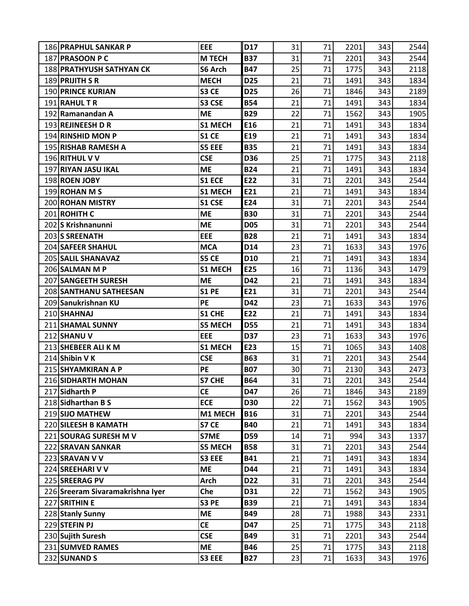| <b>186 PRAPHUL SANKAR P</b>      | <b>EEE</b>     | D17             | 31 | 71 | 2201 | 343 | 2544 |
|----------------------------------|----------------|-----------------|----|----|------|-----|------|
| 187 PRASOON P C                  | <b>M TECH</b>  | <b>B37</b>      | 31 | 71 | 2201 | 343 | 2544 |
| <b>188 PRATHYUSH SATHYAN CK</b>  | S6 Arch        | <b>B47</b>      | 25 | 71 | 1775 | 343 | 2118 |
| 189 PRIJITH S R                  | <b>MECH</b>    | D <sub>25</sub> | 21 | 71 | 1491 | 343 | 1834 |
| <b>190 PRINCE KURIAN</b>         | S3 CE          | <b>D25</b>      | 26 | 71 | 1846 | 343 | 2189 |
| 191 RAHUL TR                     | S3 CSE         | <b>B54</b>      | 21 | 71 | 1491 | 343 | 1834 |
| 192 Ramanandan A                 | <b>ME</b>      | <b>B29</b>      | 22 | 71 | 1562 | 343 | 1905 |
| 193 REJINEESH D R                | <b>S1 MECH</b> | E16             | 21 | 71 | 1491 | 343 | 1834 |
| 194 RINSHID MON P                | <b>S1 CE</b>   | E19             | 21 | 71 | 1491 | 343 | 1834 |
| 195 RISHAB RAMESH A              | S5 EEE         | <b>B35</b>      | 21 | 71 | 1491 | 343 | 1834 |
| <b>196 RITHUL V V</b>            | <b>CSE</b>     | <b>D36</b>      | 25 | 71 | 1775 | 343 | 2118 |
| 197 RIYAN JASU IKAL              | <b>ME</b>      | <b>B24</b>      | 21 | 71 | 1491 | 343 | 1834 |
| 198 ROEN JOBY                    | S1 ECE         | E22             | 31 | 71 | 2201 | 343 | 2544 |
| 199 ROHAN M S                    | <b>S1 MECH</b> | E21             | 21 | 71 | 1491 | 343 | 1834 |
| <b>200 ROHAN MISTRY</b>          | S1 CSE         | E24             | 31 | 71 | 2201 | 343 | 2544 |
| 201 ROHITH C                     | <b>ME</b>      | <b>B30</b>      | 31 | 71 | 2201 | 343 | 2544 |
| 202 S Krishnanunni               | <b>ME</b>      | <b>D05</b>      | 31 | 71 | 2201 | 343 | 2544 |
| 203 S SREENATH                   | EEE            | <b>B28</b>      | 21 | 71 | 1491 | 343 | 1834 |
| 204 SAFEER SHAHUL                | <b>MCA</b>     | D14             | 23 | 71 | 1633 | 343 | 1976 |
| 205 SALIL SHANAVAZ               | S5 CE          | D <sub>10</sub> | 21 | 71 | 1491 | 343 | 1834 |
| 206 SALMAN M P                   | <b>S1 MECH</b> | E25             | 16 | 71 | 1136 | 343 | 1479 |
| 207 SANGEETH SURESH              | <b>ME</b>      | D42             | 21 | 71 | 1491 | 343 | 1834 |
| 208 SANTHANU SATHEESAN           | <b>S1 PE</b>   | E21             | 31 | 71 | 2201 | 343 | 2544 |
| 209 Sanukrishnan KU              | <b>PE</b>      | D42             | 23 | 71 | 1633 | 343 | 1976 |
| 210 SHAHNAJ                      | S1 CHE         | E22             | 21 | 71 | 1491 | 343 | 1834 |
| 211 SHAMAL SUNNY                 | <b>S5 MECH</b> | <b>D55</b>      | 21 | 71 | 1491 | 343 | 1834 |
| 212 SHANU V                      | EEE            | D37             | 23 | 71 | 1633 | 343 | 1976 |
| 213 SHEBEER ALI K M              | <b>S1 MECH</b> | E23             | 15 | 71 | 1065 | 343 | 1408 |
| 214 Shibin V K                   | <b>CSE</b>     | <b>B63</b>      | 31 | 71 | 2201 | 343 | 2544 |
| 215 SHYAMKIRAN A P               | PE             | <b>B07</b>      | 30 | 71 | 2130 | 343 | 2473 |
| 216 SIDHARTH MOHAN               | S7 CHE         | <b>B64</b>      | 31 | 71 | 2201 | 343 | 2544 |
| 217 Sidharth P                   | <b>CE</b>      | <b>D47</b>      | 26 | 71 | 1846 | 343 | 2189 |
| 218 Sidharthan B S               | <b>ECE</b>     | <b>D30</b>      | 22 | 71 | 1562 | 343 | 1905 |
| 219 SIJO MATHEW                  | M1 MECH        | <b>B16</b>      | 31 | 71 | 2201 | 343 | 2544 |
| 220 SILEESH B KAMATH             | S7 CE          | <b>B40</b>      | 21 | 71 | 1491 | 343 | 1834 |
| 221 SOURAG SURESH M V            | S7ME           | D59             | 14 | 71 | 994  | 343 | 1337 |
| 222 SRAVAN SANKAR                | <b>S5 MECH</b> | <b>B58</b>      | 31 | 71 | 2201 | 343 | 2544 |
| 223 SRAVAN V V                   | S3 EEE         | <b>B41</b>      | 21 | 71 | 1491 | 343 | 1834 |
| 224 SREEHARI V V                 | <b>ME</b>      | D44             | 21 | 71 | 1491 | 343 | 1834 |
| 225 SREERAG PV                   | Arch           | D22             | 31 | 71 | 2201 | 343 | 2544 |
| 226 Sreeram Sivaramakrishna Iyer | Che            | D31             | 22 | 71 | 1562 | 343 | 1905 |
| 227 SRITHIN E                    | S3 PE          | <b>B39</b>      | 21 | 71 | 1491 | 343 | 1834 |
| 228 Stanly Sunny                 | <b>ME</b>      | <b>B49</b>      | 28 | 71 | 1988 | 343 | 2331 |
| 229 STEFIN PJ                    | <b>CE</b>      | <b>D47</b>      | 25 | 71 | 1775 | 343 | 2118 |
| 230 Sujith Suresh                | <b>CSE</b>     | <b>B49</b>      | 31 | 71 | 2201 | 343 | 2544 |
| 231 SUMVED RAMES                 | <b>ME</b>      | <b>B46</b>      | 25 | 71 | 1775 | 343 | 2118 |
| 232 SUNAND S                     | S3 EEE         | <b>B27</b>      | 23 | 71 | 1633 | 343 | 1976 |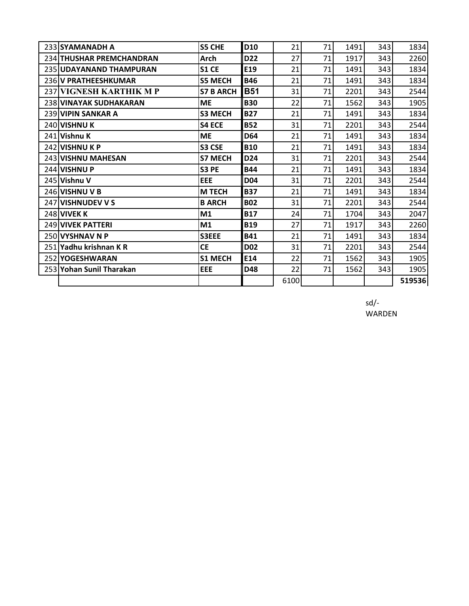| 233 SYAMANADH A          | <b>S5 CHE</b>    | <b>D10</b>      | 21   | 71 | 1491 | 343 | 1834   |
|--------------------------|------------------|-----------------|------|----|------|-----|--------|
| 234 THUSHAR PREMCHANDRAN | Arch             | <b>D22</b>      | 27   | 71 | 1917 | 343 | 2260   |
| 235 UDAYANAND THAMPURAN  | <b>S1 CE</b>     | E19             | 21   | 71 | 1491 | 343 | 1834   |
| 236 V PRATHEESHKUMAR     | <b>S5 MECH</b>   | <b>B46</b>      | 21   | 71 | 1491 | 343 | 1834   |
| 237 VIGNESH KARTHIK M P  | <b>S7 B ARCH</b> | <b>B51</b>      | 31   | 71 | 2201 | 343 | 2544   |
| 238 VINAYAK SUDHAKARAN   | <b>ME</b>        | <b>B30</b>      | 22   | 71 | 1562 | 343 | 1905   |
| 239 VIPIN SANKAR A       | <b>S3 MECH</b>   | <b>B27</b>      | 21   | 71 | 1491 | 343 | 1834   |
| 240 VISHNU K             | S4 ECE           | <b>B52</b>      | 31   | 71 | 2201 | 343 | 2544   |
| 241 Vishnu K             | <b>ME</b>        | <b>D64</b>      | 21   | 71 | 1491 | 343 | 1834   |
| 242 VISHNU K P           | S3 CSE           | <b>B10</b>      | 21   | 71 | 1491 | 343 | 1834   |
| 243 VISHNU MAHESAN       | <b>S7 MECH</b>   | D <sub>24</sub> | 31   | 71 | 2201 | 343 | 2544   |
| 244 VISHNU P             | S3 PE            | <b>B44</b>      | 21   | 71 | 1491 | 343 | 1834   |
| 245 Vishnu V             | <b>EEE</b>       | <b>D04</b>      | 31   | 71 | 2201 | 343 | 2544   |
| 246 VISHNU V B           | <b>M TECH</b>    | <b>B37</b>      | 21   | 71 | 1491 | 343 | 1834   |
| 247 VISHNUDEV V S        | <b>B ARCH</b>    | <b>B02</b>      | 31   | 71 | 2201 | 343 | 2544   |
| 248 VIVEK K              | M <sub>1</sub>   | <b>B17</b>      | 24   | 71 | 1704 | 343 | 2047   |
| 249 VIVEK PATTERI        | M1               | <b>B19</b>      | 27   | 71 | 1917 | 343 | 2260   |
| 250 VYSHNAV N P          | S3EEE            | <b>B41</b>      | 21   | 71 | 1491 | 343 | 1834   |
| 251 Yadhu krishnan K R   | <b>CE</b>        | <b>D02</b>      | 31   | 71 | 2201 | 343 | 2544   |
| 252 YOGESHWARAN          | <b>S1 MECH</b>   | E14             | 22   | 71 | 1562 | 343 | 1905   |
| 253 Yohan Sunil Tharakan | EEE              | D48             | 22   | 71 | 1562 | 343 | 1905   |
|                          |                  |                 | 6100 |    |      |     | 519536 |
|                          |                  |                 |      |    |      |     |        |

sd/- WARDEN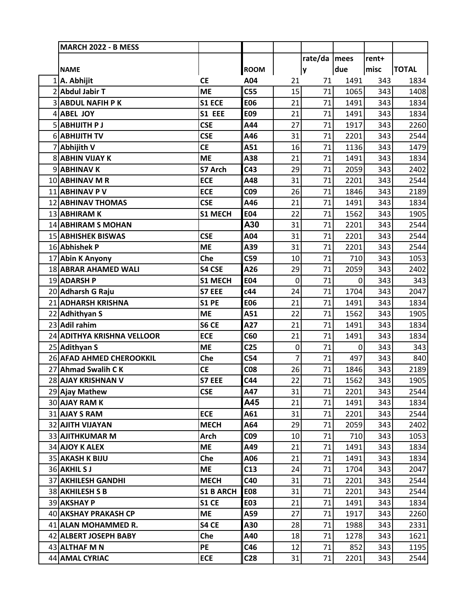|    | <b>MARCH 2022 - B MESS</b>               |                           |                   |          |                |              |            |              |
|----|------------------------------------------|---------------------------|-------------------|----------|----------------|--------------|------------|--------------|
|    |                                          |                           |                   |          | rate/da   mees |              | rent+      |              |
|    | <b>NAME</b>                              |                           | <b>ROOM</b>       |          | y              | due          | misc       | <b>TOTAL</b> |
|    | 1 A. Abhijit                             | <b>CE</b>                 | A04               | 21       | 71             | 1491         | 343        | 1834         |
|    | 2 Abdul Jabir T                          | <b>ME</b>                 | C55               | 15       | 71             | 1065         | 343        | 1408         |
|    | <b>3 ABDUL NAFIH P K</b>                 | S1 ECE                    | <b>E06</b>        | 21       | 71             | 1491         | 343        | 1834         |
|    | 4 ABEL JOY                               | S1 EEE                    | E09               | 21       | 71             | 1491         | 343        | 1834         |
| 5  | <b>ABHIJITH P J</b>                      | <b>CSE</b>                | A44               | 27       | 71             | 1917         | 343        | 2260         |
|    | 6 ABHIJITH TV                            | <b>CSE</b>                | A46               | 31       | 71             | 2201         | 343        | 2544         |
|    | 7 Abhijith V                             | <b>CE</b>                 | A51               | 16       | 71             | 1136         | 343        | 1479         |
|    | <b>8 ABHIN VIJAY K</b>                   | <b>ME</b>                 | A38               | 21       | 71             | 1491         | 343        | 1834         |
|    | 9 ABHINAV K                              | S7 Arch                   | C43               | 29       | 71             | 2059         | 343        | 2402         |
|    | 10 ABHINAV M R                           | <b>ECE</b>                | A48               | 31       | 71             | 2201         | 343        | 2544         |
|    | 11 ABHINAV P V                           | <b>ECE</b>                | C <sub>09</sub>   | 26       | 71             | 1846         | 343        | 2189         |
|    | <b>12 ABHINAV THOMAS</b>                 | <b>CSE</b>                | A46               | 21       | 71             | 1491         | 343        | 1834         |
|    | 13 ABHIRAM K                             | <b>S1 MECH</b>            | E04               | 22       | 71             | 1562         | 343        | 1905         |
|    | <b>14 ABHIRAM S MOHAN</b>                |                           | A30               | 31       | 71             | 2201         | 343        | 2544         |
|    | <b>15 ABHISHEK BISWAS</b>                | <b>CSE</b>                | A04               | 31       | 71             | 2201         | 343        | 2544         |
|    | 16 Abhishek P                            | <b>ME</b>                 | A39               | 31       | 71             | 2201         | 343        | 2544         |
| 17 | <b>Abin K Anyony</b>                     | Che                       | C59               | 10       | 71             | 710          | 343        | 1053         |
|    | 18 ABRAR AHAMED WALI                     | S4 CSE                    | A26               | 29       | 71             | 2059         | 343        | 2402         |
|    | 19 ADARSH P                              | <b>S1 MECH</b>            | E04               | 0        | 71             | 0            | 343        | 343          |
|    | 20 Adharsh G Raju                        | S7 EEE                    | c44               | 24       | 71             | 1704         | 343        | 2047         |
|    | 21 ADHARSH KRISHNA                       | <b>S1 PE</b>              | <b>E06</b>        | 21       | 71             | 1491         | 343        | 1834         |
|    | 22 Adhithyan S                           | <b>ME</b>                 | A51               | 22       | 71             | 1562         | 343        | 1905         |
|    | 23 Adil rahim                            | <b>S6 CE</b>              | A27               | 21       | 71             | 1491         | 343        | 1834         |
|    | 24 ADITHYA KRISHNA VELLOOR               | <b>ECE</b>                | C60               | 21       | 71             | 1491         | 343        | 1834         |
|    | 25 Adithyan S                            | <b>ME</b>                 | C <sub>25</sub>   | 0        | 71             | 0            | 343        | 343          |
|    | 26 AFAD AHMED CHEROOKKIL                 | Che                       | C54               | 7        | 71             | 497          | 343        | 840          |
| 27 | <b>Ahmad Swalih CK</b>                   | <b>CE</b>                 | <b>CO8</b>        | 26       | 71             | 1846         | 343        | 2189         |
|    | 28 AJAY KRISHNAN V                       | S7 EEE                    | C44               | 22       | 71             | 1562         | 343        | 1905         |
|    | 29 Ajay Mathew                           | <b>CSE</b>                | A47               | 31       | 71             | 2201         | 343        | 2544         |
|    | <b>30 AJAY RAM K</b>                     |                           | A45               | 21       | 71             | 1491         | 343        | 1834         |
|    | 31 AJAY S RAM                            | <b>ECE</b>                | A61               | 31       | 71             | 2201         | 343        | 2544         |
|    | <b>32 AJITH VIJAYAN</b>                  | <b>MECH</b>               | A64               | 29       | 71             | 2059         | 343        | 2402         |
|    | <b>33 AJITHKUMAR M</b>                   | Arch                      | C09               | 10       | 71             | 710          | 343        | 1053         |
|    | 34 AJOY K ALEX                           | <b>ME</b>                 | A49               | 21       | 71             | 1491         | 343        | 1834         |
|    | <b>35 AKASH K BIJU</b>                   | Che                       | A06               | 21       | 71             | 1491         | 343        | 1834         |
|    | 36 AKHIL SJ<br><b>37 AKHILESH GANDHI</b> | <b>ME</b><br><b>MECH</b>  | C13<br>C40        | 24<br>31 | 71<br>71       | 1704         | 343<br>343 | 2047<br>2544 |
|    |                                          |                           |                   |          |                | 2201         |            |              |
|    | <b>38 AKHILESH S B</b><br>39 AKSHAY P    | <b>S1 B ARCH</b>          | <b>E08</b><br>E03 | 31<br>21 | 71<br>71       | 2201         | 343        | 2544         |
|    | 40 AKSHAY PRAKASH CP                     | <b>S1 CE</b><br><b>ME</b> | A59               | 27       | 71             | 1491         | 343<br>343 | 1834         |
|    | 41 ALAN MOHAMMED R.                      | S4 CE                     | A30               | 28       | 71             | 1917<br>1988 | 343        | 2260<br>2331 |
|    | 42 ALBERT JOSEPH BABY                    | Che                       | A40               | 18       | 71             | 1278         | 343        | 1621         |
|    | 43 ALTHAF M N                            | <b>PE</b>                 | C46               | 12       | 71             | 852          | 343        | 1195         |
|    | 44 AMAL CYRIAC                           | <b>ECE</b>                |                   | 31       |                |              | 343        |              |
|    |                                          |                           | C28               |          | 71             | 2201         |            | 2544         |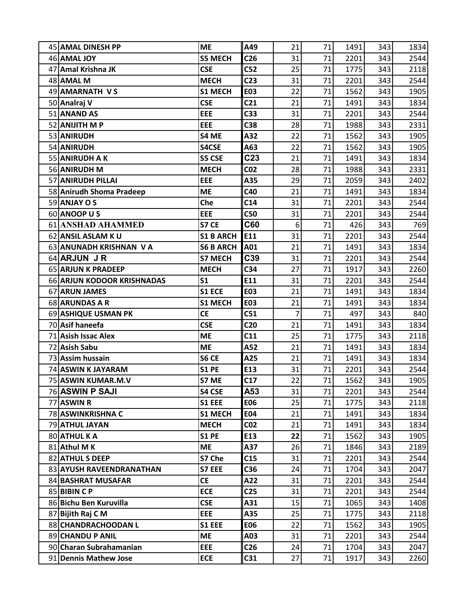| 45 AMAL DINESH PP          | <b>ME</b>        | A49             | 21 | 71 | 1491 | 343 | 1834 |
|----------------------------|------------------|-----------------|----|----|------|-----|------|
| 46 AMAL JOY                | <b>S5 MECH</b>   | C <sub>26</sub> | 31 | 71 | 2201 | 343 | 2544 |
| 47 Amal Krishna JK         | <b>CSE</b>       | C52             | 25 | 71 | 1775 | 343 | 2118 |
| 48 AMAL M                  | <b>MECH</b>      | C <sub>23</sub> | 31 | 71 | 2201 | 343 | 2544 |
| 49 AMARNATH VS             | <b>S1 MECH</b>   | <b>E03</b>      | 22 | 71 | 1562 | 343 | 1905 |
| 50 Analraj V               | <b>CSE</b>       | C <sub>21</sub> | 21 | 71 | 1491 | 343 | 1834 |
| 51 ANAND AS                | <b>EEE</b>       | C <sub>33</sub> | 31 | 71 | 2201 | 343 | 2544 |
| 52 ANIJITH M P             | <b>EEE</b>       | C38             | 28 | 71 | 1988 | 343 | 2331 |
| 53 ANIRUDH                 | S4 ME            | A32             | 22 | 71 | 1562 | 343 | 1905 |
| 54 ANIRUDH                 | S4CSE            | A63             | 22 | 71 | 1562 | 343 | 1905 |
| 55 ANIRUDH A K             | S5 CSE           | C <sub>23</sub> | 21 | 71 | 1491 | 343 | 1834 |
| 56 ANIRUDH M               | <b>MECH</b>      | CO <sub>2</sub> | 28 | 71 | 1988 | 343 | 2331 |
| 57 ANIRUDH PILLAI          | <b>EEE</b>       | A35             | 29 | 71 | 2059 | 343 | 2402 |
| 58 Anirudh Shoma Pradeep   | <b>ME</b>        | C40             | 21 | 71 | 1491 | 343 | 1834 |
| 59 ANJAY OS                | Che              | C14             | 31 | 71 | 2201 | 343 | 2544 |
| 60 ANOOP US                | <b>EEE</b>       | <b>C50</b>      | 31 | 71 | 2201 | 343 | 2544 |
| 61 ANSHAD AHAMMED          | S7 CE            | C60             | 6  | 71 | 426  | 343 | 769  |
| 62 ANSIL ASLAM KU          | <b>S1 B ARCH</b> | E11             | 31 | 71 | 2201 | 343 | 2544 |
| 63 ANUNADH KRISHNAN V A    | <b>S6 B ARCH</b> | A01             | 21 | 71 | 1491 | 343 | 1834 |
| 64 ARJUN J R               | <b>S7 MECH</b>   | C39             | 31 | 71 | 2201 | 343 | 2544 |
| 65 ARJUN K PRADEEP         | <b>MECH</b>      | C <sub>34</sub> | 27 | 71 | 1917 | 343 | 2260 |
| 66 ARJUN KODOOR KRISHNADAS | <b>S1</b>        | E11             | 31 | 71 | 2201 | 343 | 2544 |
| 67 ARUN JAMES              | S1 ECE           | E03             | 21 | 71 | 1491 | 343 | 1834 |
| 68 ARUNDAS A R             | <b>S1 MECH</b>   | <b>E03</b>      | 21 | 71 | 1491 | 343 | 1834 |
| 69 ASHIQUE USMAN PK        | <b>CE</b>        | C51             | 7  | 71 | 497  | 343 | 840  |
| 70 Asif haneefa            | <b>CSE</b>       | C <sub>20</sub> | 21 | 71 | 1491 | 343 | 1834 |
| 71 Asish Issac Alex        | <b>ME</b>        | C11             | 25 | 71 | 1775 | 343 | 2118 |
| 72 Asish Sabu              | <b>ME</b>        | A52             | 21 | 71 | 1491 | 343 | 1834 |
| 73 Assim hussain           | S6 CE            | A25             | 21 | 71 | 1491 | 343 | 1834 |
| 74 ASWIN K JAYARAM         | <b>S1 PE</b>     | E13             | 31 | 71 | 2201 | 343 | 2544 |
| 75 ASWIN KUMAR.M.V         | S7 ME            | C17             | 22 | 71 | 1562 | 343 | 1905 |
| 76 ASWIN P SAJI            | S4 CSE           | A53             | 31 | 71 | 2201 | 343 | 2544 |
| 77 ASWIN R                 | S1 EEE           | <b>E06</b>      | 25 | 71 | 1775 | 343 | 2118 |
| 78 ASWINKRISHNA C          | <b>S1 MECH</b>   | <b>E04</b>      | 21 | 71 | 1491 | 343 | 1834 |
| 79 ATHUL JAYAN             | <b>MECH</b>      | CO <sub>2</sub> | 21 | 71 | 1491 | 343 | 1834 |
| <b>80 ATHUL K A</b>        | <b>S1 PE</b>     | E13             | 22 | 71 | 1562 | 343 | 1905 |
| 81 Athul M K               | <b>ME</b>        | A37             | 26 | 71 | 1846 | 343 | 2189 |
| 82 ATHUL S DEEP            | S7 Che           | C15             | 31 | 71 | 2201 | 343 | 2544 |
| 83 AYUSH RAVEENDRANATHAN   | S7 EEE           | C36             | 24 | 71 | 1704 | 343 | 2047 |
| 84 BASHRAT MUSAFAR         | <b>CE</b>        | A22             | 31 | 71 | 2201 | 343 | 2544 |
| 85 BIBIN CP                | <b>ECE</b>       | C <sub>25</sub> | 31 | 71 | 2201 | 343 | 2544 |
| 86 Bichu Ben Kuruvilla     | <b>CSE</b>       | A31             | 15 | 71 | 1065 | 343 | 1408 |
| 87 Bijith Raj C M          | <b>EEE</b>       | A35             | 25 | 71 | 1775 | 343 | 2118 |
| 88 CHANDRACHOODAN L        | S1 EEE           | <b>E06</b>      | 22 | 71 | 1562 | 343 | 1905 |
| 89 CHANDU P ANIL           | <b>ME</b>        | A03             | 31 | 71 | 2201 | 343 | 2544 |
| 90 Charan Subrahamanian    | <b>EEE</b>       | C <sub>26</sub> | 24 | 71 | 1704 | 343 | 2047 |
| 91 Dennis Mathew Jose      | <b>ECE</b>       | C31             | 27 | 71 | 1917 | 343 | 2260 |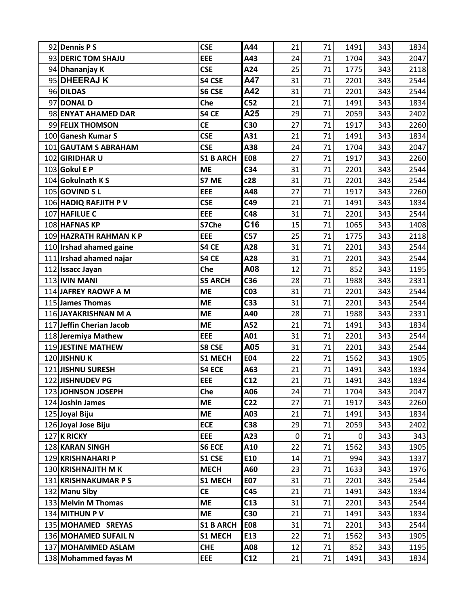|     | 92 Dennis P S            | <b>CSE</b>       | A44             | 21          | 71 | 1491 | 343 | 1834 |
|-----|--------------------------|------------------|-----------------|-------------|----|------|-----|------|
|     | 93 DERIC TOM SHAJU       | <b>EEE</b>       | A43             | 24          | 71 | 1704 | 343 | 2047 |
|     | 94 Dhananjay K           | <b>CSE</b>       | A24             | 25          | 71 | 1775 | 343 | 2118 |
|     | 95 DHEERAJ K             | S4 CSE           | A47             | 31          | 71 | 2201 | 343 | 2544 |
|     | 96 DILDAS                | S6 CSE           | A42             | 31          | 71 | 2201 | 343 | 2544 |
| 97  | <b>DONAL D</b>           | Che              | C52             | 21          | 71 | 1491 | 343 | 1834 |
|     | 98 ENYAT AHAMED DAR      | S4 CE            | A25             | 29          | 71 | 2059 | 343 | 2402 |
|     | 99 FELIX THOMSON         | <b>CE</b>        | C30             | 27          | 71 | 1917 | 343 | 2260 |
|     | 100 Ganesh Kumar S       | <b>CSE</b>       | A31             | 21          | 71 | 1491 | 343 | 1834 |
|     | 101 GAUTAM S ABRAHAM     | <b>CSE</b>       | A38             | 24          | 71 | 1704 | 343 | 2047 |
|     | 102 GIRIDHAR U           | <b>S1 B ARCH</b> | <b>E08</b>      | 27          | 71 | 1917 | 343 | 2260 |
|     | 103 Gokul E P            | <b>ME</b>        | C34             | 31          | 71 | 2201 | 343 | 2544 |
|     | 104 Gokulnath K S        | S7 ME            | c28             | 31          | 71 | 2201 | 343 | 2544 |
|     | 105 GOVIND SL            | <b>EEE</b>       | A48             | 27          | 71 | 1917 | 343 | 2260 |
|     | 106 HADIQ RAFJITH P V    | <b>CSE</b>       | C49             | 21          | 71 | 1491 | 343 | 1834 |
| 107 | <b>HAFILUE C</b>         | <b>EEE</b>       | C48             | 31          | 71 | 2201 | 343 | 2544 |
|     | 108 HAFNAS KP            | S7Che            | C16             | 15          | 71 | 1065 | 343 | 1408 |
|     | 109 HAZRATH RAHMAN K P   | <b>EEE</b>       | C57             | 25          | 71 | 1775 | 343 | 2118 |
|     | 110 Irshad ahamed gaine  | S4 CE            | A28             | 31          | 71 | 2201 | 343 | 2544 |
|     | 111 Irshad ahamed najar  | S4 CE            | A28             | 31          | 71 | 2201 | 343 | 2544 |
|     | 112 Issacc Jayan         | Che              | A08             | 12          | 71 | 852  | 343 | 1195 |
|     | 113 IVIN MANI            | <b>S5 ARCH</b>   | C36             | 28          | 71 | 1988 | 343 | 2331 |
|     | 114 JAFREY RAOWF A M     | <b>ME</b>        | C03             | 31          | 71 | 2201 | 343 | 2544 |
|     | 115 James Thomas         | <b>ME</b>        | C33             | 31          | 71 | 2201 | 343 | 2544 |
|     | 116 JAYAKRISHNAN M A     | <b>ME</b>        | A40             | 28          | 71 | 1988 | 343 | 2331 |
|     | 117 Jeffin Cherian Jacob | <b>ME</b>        | A52             | 21          | 71 | 1491 | 343 | 1834 |
|     | 118 Jeremiya Mathew      | <b>EEE</b>       | A01             | 31          | 71 | 2201 | 343 | 2544 |
|     | 119 JESTINE MATHEW       | S8 CSE           | A05             | 31          | 71 | 2201 | 343 | 2544 |
|     | 120 JISHNU K             | <b>S1 MECH</b>   | <b>E04</b>      | 22          | 71 | 1562 | 343 | 1905 |
|     | 121 JISHNU SURESH        | <b>S4 ECE</b>    | A63             | 21          | 71 | 1491 | 343 | 1834 |
|     | 122 JISHNUDEV PG         | <b>EEE</b>       | C12             | 21          | 71 | 1491 | 343 | 1834 |
|     | 123 JOHNSON JOSEPH       | Che              | A06             | 24          | 71 | 1704 | 343 | 2047 |
|     | 124 Joshin James         | <b>ME</b>        | C <sub>22</sub> | 27          | 71 | 1917 | 343 | 2260 |
|     | 125 Joyal Biju           | <b>ME</b>        | A03             | 21          | 71 | 1491 | 343 | 1834 |
|     | 126 Joyal Jose Biju      | <b>ECE</b>       | C38             | 29          | 71 | 2059 | 343 | 2402 |
|     | 127 K RICKY              | <b>EEE</b>       | A23             | $\mathbf 0$ | 71 | 0    | 343 | 343  |
|     | 128 KARAN SINGH          | S6 ECE           | A10             | 22          | 71 | 1562 | 343 | 1905 |
|     | 129 KRISHNAHARI P        | S1 CSE           | E10             | 14          | 71 | 994  | 343 | 1337 |
|     | 130 KRISHNAJITH M K      | <b>MECH</b>      | A60             | 23          | 71 | 1633 | 343 | 1976 |
|     | 131 KRISHNAKUMAR P S     | <b>S1 MECH</b>   | <b>E07</b>      | 31          | 71 | 2201 | 343 | 2544 |
|     | 132 Manu Siby            | <b>CE</b>        | C45             | 21          | 71 | 1491 | 343 | 1834 |
|     | 133 Melvin M Thomas      | <b>ME</b>        | C13             | 31          | 71 | 2201 | 343 | 2544 |
|     | 134 MITHUN P V           | <b>ME</b>        | C30             | 21          | 71 | 1491 | 343 | 1834 |
|     | 135 MOHAMED SREYAS       | <b>S1 B ARCH</b> | <b>E08</b>      | 31          | 71 | 2201 | 343 | 2544 |
|     | 136 MOHAMED SUFAIL N     | <b>S1 MECH</b>   | E13             | 22          | 71 | 1562 | 343 | 1905 |
|     | 137 MOHAMMED ASLAM       | <b>CHE</b>       | A08             | 12          | 71 | 852  | 343 | 1195 |
|     | 138 Mohammed fayas M     | <b>EEE</b>       | C12             | 21          | 71 | 1491 | 343 | 1834 |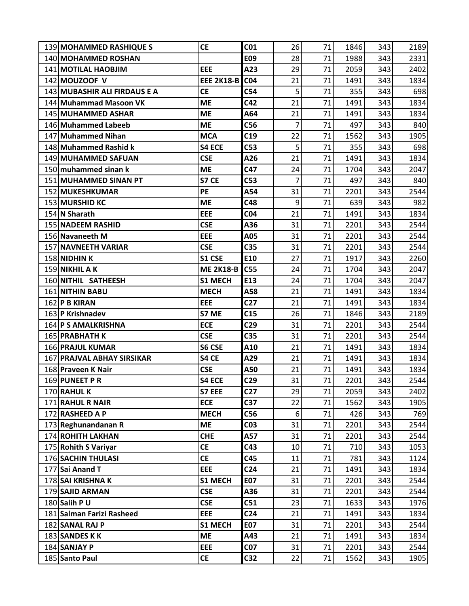| 139 MOHAMMED RASHIQUE S                  | <b>CE</b>               | CO <sub>1</sub>        | 26       | 71       | 1846        | 343        | 2189         |
|------------------------------------------|-------------------------|------------------------|----------|----------|-------------|------------|--------------|
| 140 MOHAMMED ROSHAN                      |                         | E09                    | 28       | 71       | 1988        | 343        | 2331         |
| 141 MOTILAL HAOBJIM                      | EEE                     | A23                    | 29       | 71       | 2059        | 343        | 2402         |
| 142 MOUZOOF V                            | <b>EEE 2K18-B C04</b>   |                        | 21       | 71       | 1491        | 343        | 1834         |
| 143 MUBASHIR ALI FIRDAUS E A             | <b>CE</b>               | C54                    | 5        | 71       | 355         | 343        | 698          |
| 144 Muhammad Masoon VK                   | <b>ME</b>               | C42                    | 21       | 71       | 1491        | 343        | 1834         |
| 145 MUHAMMED ASHAR                       | <b>ME</b>               | A64                    | 21       | 71       | 1491        | 343        | 1834         |
| 146 Muhammed Labeeb                      | <b>ME</b>               | C56                    | 7        | 71       | 497         | 343        | 840          |
| 147 Muhammed Nihan                       | <b>MCA</b>              | C19                    | 22       | 71       | 1562        | 343        | 1905         |
| 148 Muhammed Rashid k                    | S4 ECE                  | C53                    | 5        | 71       | 355         | 343        | 698          |
| 149 MUHAMMED SAFUAN                      | <b>CSE</b>              | A26                    | 21       | 71       | 1491        | 343        | 1834         |
| 150 muhammed sinan k                     | <b>ME</b>               | C47                    | 24       | 71       | 1704        | 343        | 2047         |
| 151 MUHAMMED SINAN PT                    | S7 CE                   | C53                    | 7        | 71       | 497         | 343        | 840          |
| 152 MUKESHKUMAR                          | PE                      | A54                    | 31       | 71       | 2201        | 343        | 2544         |
| 153 MURSHID KC                           | <b>ME</b>               | C48                    | 9        | 71       | 639         | 343        | 982          |
| 154 N Sharath                            | EEE                     | CO <sub>4</sub>        | 21       | 71       | 1491        | 343        | 1834         |
| 155 NADEEM RASHID                        | <b>CSE</b>              | A36                    | 31       | 71       | 2201        | 343        | 2544         |
| 156 Navaneeth M                          | <b>EEE</b>              | A05                    | 31       | 71       | 2201        | 343        | 2544         |
| 157 NAVNEETH VARIAR                      | <b>CSE</b>              | C <sub>35</sub>        | 31       | 71       | 2201        | 343        | 2544         |
| 158 NIDHIN K                             | S1 CSE                  | E10                    | 27       | 71       | 1917        | 343        | 2260         |
| 159 NIKHIL A K                           | <b>ME 2K18-B</b>        | C55                    | 24       | 71       | 1704        | 343        | 2047         |
| 160 NITHIL SATHEESH                      | <b>S1 MECH</b>          | E13                    | 24       | 71       | 1704        | 343        | 2047         |
| 161 NITHIN BABU                          | <b>MECH</b>             | A58                    | 21       | 71       | 1491        | 343        | 1834         |
| 162 P B KIRAN                            | EEE                     | C <sub>27</sub>        | 21       | 71       | 1491        | 343        | 1834         |
| 163 P Krishnadev                         | S7 ME                   | C15                    | 26       | 71       | 1846        | 343        | 2189         |
| 164 P S AMALKRISHNA                      | <b>ECE</b>              | C <sub>29</sub>        | 31       | 71       | 2201        | 343        | 2544         |
| 165 PRABHATH K                           | <b>CSE</b>              | C35                    | 31       | 71       | 2201        | 343        | 2544         |
| <b>166 PRAJUL KUMAR</b>                  | S6 CSE                  | A10                    | 21       | 71       | 1491        | 343        | 1834         |
| 167 PRAJVAL ABHAY SIRSIKAR               | S4 CE                   | A29                    | 21       | 71       | 1491        | 343        | 1834         |
| 168 Praveen K Nair                       | <b>CSE</b>              | A50                    | 21       | 71       | 1491        | 343        | 1834         |
| 169 PUNEET PR                            | S4 ECE                  | C <sub>29</sub>        | 31       | 71       | 2201        | 343        | 2544         |
| 170 RAHUL K                              | S7 EEE                  | C <sub>27</sub>        | 29       | 71       | 2059        | 343        | 2402         |
| 171 RAHUL R NAIR                         | <b>ECE</b>              | C <sub>37</sub>        | 22       | 71       | 1562        | 343        | 1905         |
| 172 RASHEED A P                          | <b>MECH</b>             | C56                    | 6        | 71       | 426         | 343        | 769          |
| 173 Reghunandanan R<br>174 ROHITH LAKHAN | <b>ME</b><br><b>CHE</b> | CO <sub>3</sub><br>A57 | 31<br>31 | 71<br>71 | 2201        | 343<br>343 | 2544<br>2544 |
| 175 Rohith S Variyar                     | <b>CE</b>               | C43                    | 10       | 71       | 2201<br>710 | 343        | 1053         |
| <b>176 SACHIN THULASI</b>                | <b>CE</b>               | C45                    | 11       | 71       | 781         | 343        | 1124         |
| 177 Sai Anand T                          | <b>EEE</b>              | C <sub>24</sub>        | 21       | 71       | 1491        | 343        | 1834         |
| 178 SAI KRISHNA K                        | <b>S1 MECH</b>          | E07                    | 31       | 71       | 2201        | 343        | 2544         |
| 179 SAJID ARMAN                          | <b>CSE</b>              | A36                    | 31       | 71       | 2201        | 343        | 2544         |
| 180 Salih PU                             | <b>CSE</b>              | C51                    | 23       | 71       | 1633        | 343        | 1976         |
| 181 Salman Farizi Rasheed                | <b>EEE</b>              | C <sub>24</sub>        | 21       | 71       | 1491        | 343        | 1834         |
| 182 SANAL RAJ P                          | <b>S1 MECH</b>          | <b>E07</b>             | 31       | 71       | 2201        | 343        | 2544         |
| 183 SANDES KK                            | <b>ME</b>               | A43                    | 21       | 71       | 1491        | 343        | 1834         |
| 184 SANJAY P                             | <b>EEE</b>              | <b>CO7</b>             | 31       | 71       | 2201        | 343        | 2544         |
| 185 Santo Paul                           | <b>CE</b>               | C32                    | 22       | 71       | 1562        | 343        | 1905         |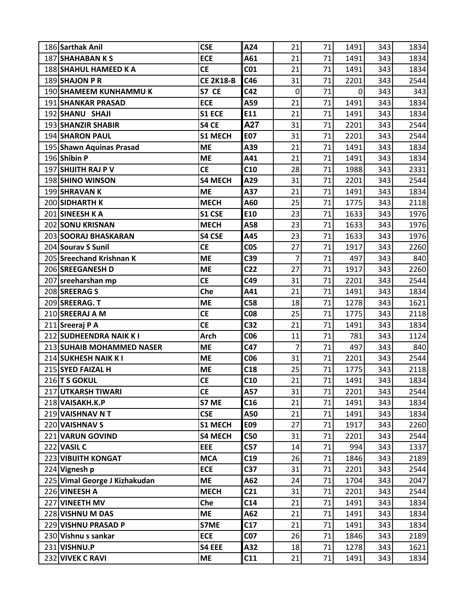| 186 Sarthak Anil              | <b>CSE</b>       | A24             | 21               | 71 | 1491 | 343 | 1834 |
|-------------------------------|------------------|-----------------|------------------|----|------|-----|------|
| 187 SHAHABAN K S              | <b>ECE</b>       | A61             | 21               | 71 | 1491 | 343 | 1834 |
| 188 SHAHUL HAMEED K A         | <b>CE</b>        | CO <sub>1</sub> | 21               | 71 | 1491 | 343 | 1834 |
| 189 SHAJON P R                | <b>CE 2K18-B</b> | C46             | 31               | 71 | 2201 | 343 | 2544 |
| 190 SHAMEEM KUNHAMMU K        | S7 CE            | C42             | $\boldsymbol{0}$ | 71 | 0    | 343 | 343  |
| 191 SHANKAR PRASAD            | <b>ECE</b>       | A59             | 21               | 71 | 1491 | 343 | 1834 |
| 192 SHANU SHAJI               | S1 ECE           | E11             | 21               | 71 | 1491 | 343 | 1834 |
| 193 SHANZIR SHABIR            | S4 CE            | A27             | 31               | 71 | 2201 | 343 | 2544 |
| 194 SHARON PAUL               | <b>S1 MECH</b>   | <b>E07</b>      | 31               | 71 | 2201 | 343 | 2544 |
| 195 Shawn Aquinas Prasad      | <b>ME</b>        | A39             | 21               | 71 | 1491 | 343 | 1834 |
| 196 Shibin P                  | <b>ME</b>        | A41             | 21               | 71 | 1491 | 343 | 1834 |
| 197 SHIJITH RAJ P V           | <b>CE</b>        | C10             | 28               | 71 | 1988 | 343 | 2331 |
| 198 SHINO WINSON              | <b>S4 MECH</b>   | A29             | 31               | 71 | 2201 | 343 | 2544 |
| 199 SHRAVAN K                 | <b>ME</b>        | A37             | 21               | 71 | 1491 | 343 | 1834 |
| 200 SIDHARTH K                | <b>MECH</b>      | A60             | 25               | 71 | 1775 | 343 | 2118 |
| 201 SINEESH K A               | S1 CSE           | E10             | 23               | 71 | 1633 | 343 | 1976 |
| 202 SONU KRISNAN              | <b>MECH</b>      | A58             | 23               | 71 | 1633 | 343 | 1976 |
| 203 SOORAJ BHASKARAN          | S4 CSE           | A45             | 23               | 71 | 1633 | 343 | 1976 |
| 204 Sourav S Sunil            | <b>CE</b>        | <b>CO5</b>      | 27               | 71 | 1917 | 343 | 2260 |
| 205 Sreechand Krishnan K      | <b>ME</b>        | C39             | 7                | 71 | 497  | 343 | 840  |
| 206 SREEGANESH D              | <b>ME</b>        | C <sub>22</sub> | 27               | 71 | 1917 | 343 | 2260 |
| 207 sreeharshan mp            | <b>CE</b>        | C49             | 31               | 71 | 2201 | 343 | 2544 |
| 208 SREERAG S                 | Che              | A41             | 21               | 71 | 1491 | 343 | 1834 |
| 209 SREERAG. T                | <b>ME</b>        | <b>C58</b>      | 18               | 71 | 1278 | 343 | 1621 |
| 210 SREERAJ A M               | <b>CE</b>        | <b>CO8</b>      | 25               | 71 | 1775 | 343 | 2118 |
| 211 Sreeraj PA                | <b>CE</b>        | C <sub>32</sub> | 21               | 71 | 1491 | 343 | 1834 |
| 212 SUDHEENDRA NAIK K I       | <b>Arch</b>      | C <sub>06</sub> | 11               | 71 | 781  | 343 | 1124 |
| 213 SUHAIB MOHAMMED NASER     | <b>ME</b>        | C47             | 7                | 71 | 497  | 343 | 840  |
| 214 SUKHESH NAIK KI           | <b>ME</b>        | <b>CO6</b>      | 31               | 71 | 2201 | 343 | 2544 |
| 215 SYED FAIZAL H             | <b>ME</b>        | C18             | 25               | 71 | 1775 | 343 | 2118 |
| 216 T S GOKUL                 | <b>CE</b>        | C10             | 21               | 71 | 1491 | 343 | 1834 |
| 217 UTKARSH TIWARI            | <b>CE</b>        | A57             | 31               | 71 | 2201 | 343 | 2544 |
| 218 VAISAKH.K.P               | S7 ME            | C16             | 21               | 71 | 1491 | 343 | 1834 |
| 219 VAISHNAV NT               | <b>CSE</b>       | A50             | 21               | 71 | 1491 | 343 | 1834 |
| 220 VAISHNAV S                | <b>S1 MECH</b>   | E09             | 27               | 71 | 1917 | 343 | 2260 |
| 221 VARUN GOVIND              | <b>S4 MECH</b>   | <b>C50</b>      | 31               | 71 | 2201 | 343 | 2544 |
| 222 VASIL C                   | <b>EEE</b>       | C57             | 14               | 71 | 994  | 343 | 1337 |
| 223 VIBIJITH KONGAT           | <b>MCA</b>       | C19             | 26               | 71 | 1846 | 343 | 2189 |
| 224 Vignesh p                 | <b>ECE</b>       | C <sub>37</sub> | 31               | 71 | 2201 | 343 | 2544 |
| 225 Vimal George J Kizhakudan | <b>ME</b>        | A62             | 24               | 71 | 1704 | 343 | 2047 |
| 226 VINEESH A                 | <b>MECH</b>      | C <sub>21</sub> | 31               | 71 | 2201 | 343 | 2544 |
| 227 VINEETH MV                | Che              | C14             | 21               | 71 | 1491 | 343 | 1834 |
| 228 VISHNU M DAS              | <b>ME</b>        | A62             | 21               | 71 | 1491 | 343 | 1834 |
| 229 VISHNU PRASAD P           | S7ME             | C17             | 21               | 71 | 1491 | 343 | 1834 |
| 230 Vishnu s sankar           | <b>ECE</b>       | <b>C07</b>      | 26               | 71 | 1846 | 343 | 2189 |
| 231 VISHNU.P                  | S4 EEE           | A32             | 18               | 71 | 1278 | 343 | 1621 |
| 232 VIVEK C RAVI              | <b>ME</b>        | C11             | 21               | 71 | 1491 | 343 | 1834 |